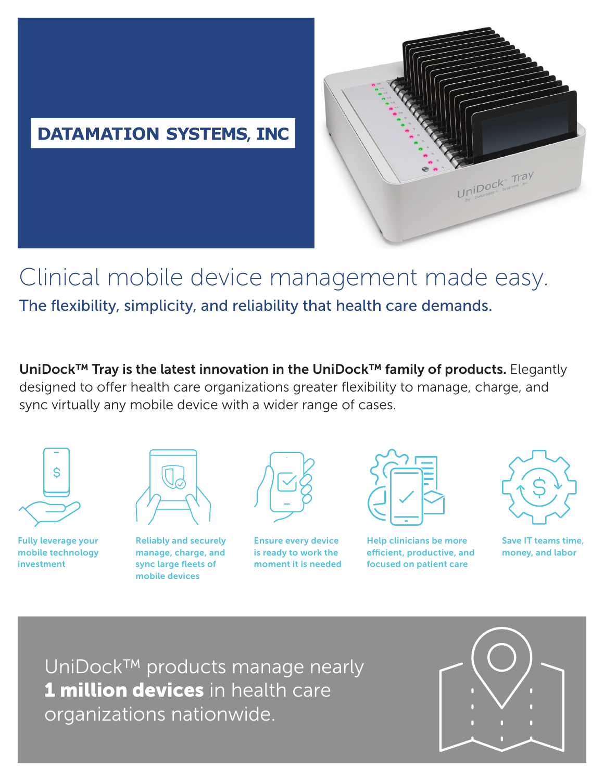# **DATAMATION SYSTEMS, INC**



# Clinical mobile device management made easy. The flexibility, simplicity, and reliability that health care demands.

UniDock™ Tray is the latest innovation in the UniDock™ family of products. Elegantly designed to offer health care organizations greater flexibility to manage, charge, and sync virtually any mobile device with a wider range of cases.



Fully leverage your mobile technology

investment

Reliably and securely manage, charge, and sync large fleets of mobile devices



Ensure every device is ready to work the moment it is needed



Help clinicians be more efficient, productive, and focused on patient care



Save IT teams time, money, and labor

UniDock™ products manage nearly 1 million devices in health care organizations nationwide.